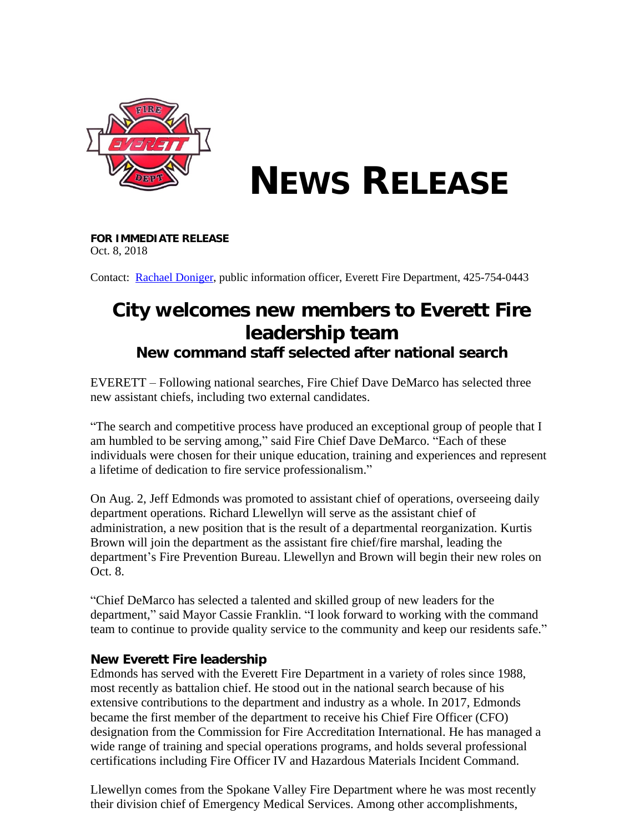

## **NEWS RELEASE**

**FOR IMMEDIATE RELEASE** Oct. 8, 2018

Contact: [Rachael Doniger,](mailto:rdoniger@everettwa.gov) public information officer, Everett Fire Department, 425-754-0443

## **City welcomes new members to Everett Fire leadership team**

*New command staff selected after national search*

EVERETT – Following national searches, Fire Chief Dave DeMarco has selected three new assistant chiefs, including two external candidates.

"The search and competitive process have produced an exceptional group of people that I am humbled to be serving among," said Fire Chief Dave DeMarco. "Each of these individuals were chosen for their unique education, training and experiences and represent a lifetime of dedication to fire service professionalism."

On Aug. 2, Jeff Edmonds was promoted to assistant chief of operations, overseeing daily department operations. Richard Llewellyn will serve as the assistant chief of administration, a new position that is the result of a departmental reorganization. Kurtis Brown will join the department as the assistant fire chief/fire marshal, leading the department's Fire Prevention Bureau. Llewellyn and Brown will begin their new roles on Oct. 8.

"Chief DeMarco has selected a talented and skilled group of new leaders for the department," said Mayor Cassie Franklin. "I look forward to working with the command team to continue to provide quality service to the community and keep our residents safe."

## **New Everett Fire leadership**

Edmonds has served with the Everett Fire Department in a variety of roles since 1988, most recently as battalion chief. He stood out in the national search because of his extensive contributions to the department and industry as a whole. In 2017, Edmonds became the first member of the department to receive his Chief Fire Officer (CFO) designation from the Commission for Fire Accreditation International. He has managed a wide range of training and special operations programs, and holds several professional certifications including Fire Officer IV and Hazardous Materials Incident Command.

Llewellyn comes from the Spokane Valley Fire Department where he was most recently their division chief of Emergency Medical Services. Among other accomplishments,